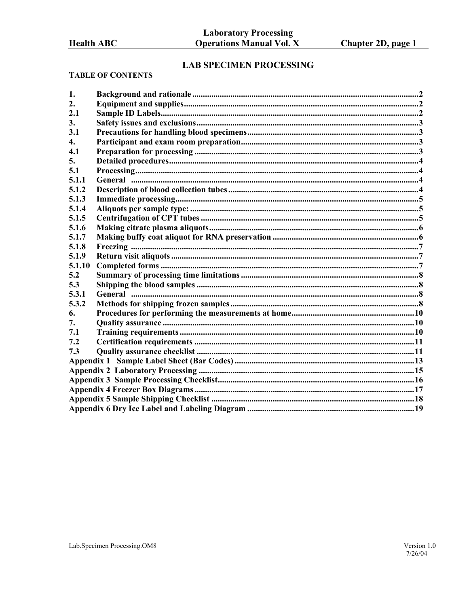# **LAB SPECIMEN PROCESSING**

#### **TABLE OF CONTENTS**

| 1.     |  |
|--------|--|
| 2.     |  |
| 2.1    |  |
| 3.     |  |
| 3.1    |  |
| 4.     |  |
| 4.1    |  |
| 5.     |  |
| 5.1    |  |
| 5.1.1  |  |
| 5.1.2  |  |
| 5.1.3  |  |
| 5.1.4  |  |
| 5.1.5  |  |
| 5.1.6  |  |
| 5.1.7  |  |
| 5.1.8  |  |
| 5.1.9  |  |
| 5.1.10 |  |
| 5.2    |  |
| 5.3    |  |
| 5.3.1  |  |
| 5.3.2  |  |
| 6.     |  |
| 7.     |  |
| 7.1    |  |
| 7.2    |  |
| 7.3    |  |
|        |  |
|        |  |
|        |  |
|        |  |
|        |  |
|        |  |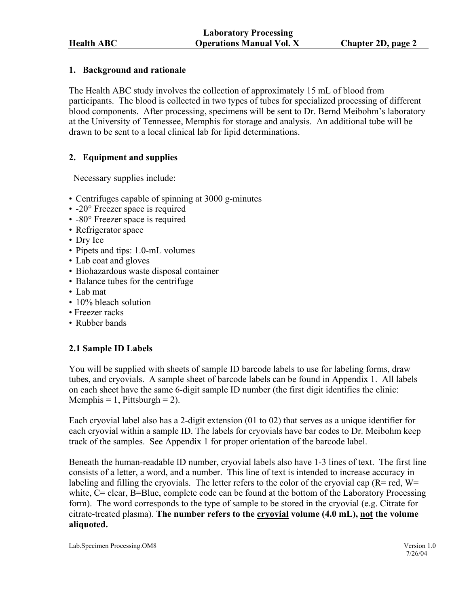### <span id="page-1-0"></span>**1. Background and rationale**

The Health ABC study involves the collection of approximately 15 mL of blood from participants. The blood is collected in two types of tubes for specialized processing of different blood components. After processing, specimens will be sent to Dr. Bernd Meibohm's laboratory at the University of Tennessee, Memphis for storage and analysis. An additional tube will be drawn to be sent to a local clinical lab for lipid determinations.

# **2. Equipment and supplies**

Necessary supplies include:

- Centrifuges capable of spinning at 3000 g-minutes
- -20° Freezer space is required
- -80° Freezer space is required
- Refrigerator space
- Dry Ice
- Pipets and tips: 1.0-mL volumes
- Lab coat and gloves
- Biohazardous waste disposal container
- Balance tubes for the centrifuge
- Lab mat
- 10% bleach solution
- Freezer racks
- Rubber bands

# **2.1 Sample ID Labels**

You will be supplied with sheets of sample ID barcode labels to use for labeling forms, draw tubes, and cryovials. A sample sheet of barcode labels can be found in Appendix 1. All labels on each sheet have the same 6-digit sample ID number (the first digit identifies the clinic: Memphis = 1, Pittsburgh = 2).

Each cryovial label also has a 2-digit extension (01 to 02) that serves as a unique identifier for each cryovial within a sample ID. The labels for cryovials have bar codes to Dr. Meibohm keep track of the samples. See Appendix 1 for proper orientation of the barcode label.

Beneath the human-readable ID number, cryovial labels also have 1-3 lines of text. The first line consists of a letter, a word, and a number. This line of text is intended to increase accuracy in labeling and filling the cryovials. The letter refers to the color of the cryovial cap  $(R = red, W =$ white, C= clear, B=Blue, complete code can be found at the bottom of the Laboratory Processing form). The word corresponds to the type of sample to be stored in the cryovial (e.g. Citrate for citrate-treated plasma). **The number refers to the cryovial volume (4.0 mL), not the volume aliquoted.**

Lab.Specimen Processing.OM8 Version 1.0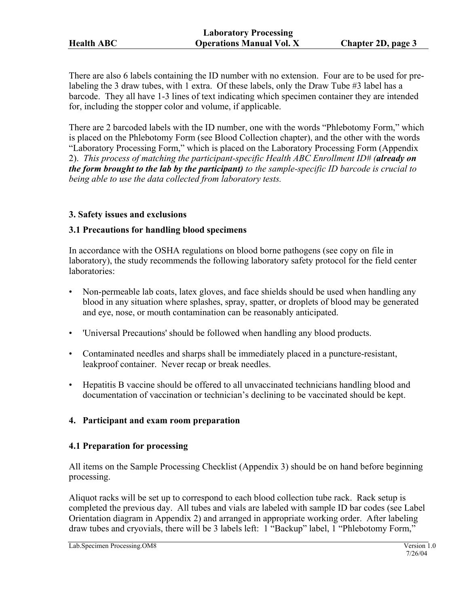<span id="page-2-0"></span>There are also 6 labels containing the ID number with no extension. Four are to be used for prelabeling the 3 draw tubes, with 1 extra. Of these labels, only the Draw Tube #3 label has a barcode. They all have 1-3 lines of text indicating which specimen container they are intended for, including the stopper color and volume, if applicable.

There are 2 barcoded labels with the ID number, one with the words "Phlebotomy Form," which is placed on the Phlebotomy Form (see Blood Collection chapter), and the other with the words "Laboratory Processing Form," which is placed on the Laboratory Processing Form (Appendix 2). *This process of matching the participant-specific Health ABC Enrollment ID# (already on the form brought to the lab by the participant) to the sample-specific ID barcode is crucial to being able to use the data collected from laboratory tests.* 

#### **3. Safety issues and exclusions**

#### **3.1 Precautions for handling blood specimens**

In accordance with the OSHA regulations on blood borne pathogens (see copy on file in laboratory), the study recommends the following laboratory safety protocol for the field center laboratories:

- Non-permeable lab coats, latex gloves, and face shields should be used when handling any blood in any situation where splashes, spray, spatter, or droplets of blood may be generated and eye, nose, or mouth contamination can be reasonably anticipated.
- 'Universal Precautions' should be followed when handling any blood products.
- Contaminated needles and sharps shall be immediately placed in a puncture-resistant, leakproof container. Never recap or break needles.
- Hepatitis B vaccine should be offered to all unvaccinated technicians handling blood and documentation of vaccination or technician's declining to be vaccinated should be kept.

#### **4. Participant and exam room preparation**

#### **4.1 Preparation for processing**

All items on the Sample Processing Checklist (Appendix 3) should be on hand before beginning processing.

Aliquot racks will be set up to correspond to each blood collection tube rack. Rack setup is completed the previous day. All tubes and vials are labeled with sample ID bar codes (see Label Orientation diagram in Appendix 2) and arranged in appropriate working order. After labeling draw tubes and cryovials, there will be 3 labels left: 1 "Backup" label, 1 "Phlebotomy Form,"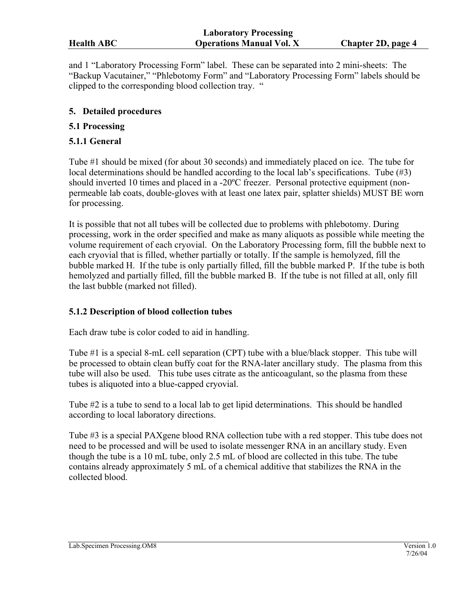<span id="page-3-0"></span>and 1 "Laboratory Processing Form" label. These can be separated into 2 mini-sheets: The "Backup Vacutainer," "Phlebotomy Form" and "Laboratory Processing Form" labels should be clipped to the corresponding blood collection tray. "

#### **5. Detailed procedures**

#### **5.1 Processing**

#### **5.1.1 General**

Tube #1 should be mixed (for about 30 seconds) and immediately placed on ice. The tube for local determinations should be handled according to the local lab's specifications. Tube (#3) should inverted 10 times and placed in a -20ºC freezer. Personal protective equipment (nonpermeable lab coats, double-gloves with at least one latex pair, splatter shields) MUST BE worn for processing.

It is possible that not all tubes will be collected due to problems with phlebotomy. During processing, work in the order specified and make as many aliquots as possible while meeting the volume requirement of each cryovial. On the Laboratory Processing form, fill the bubble next to each cryovial that is filled, whether partially or totally. If the sample is hemolyzed, fill the bubble marked H. If the tube is only partially filled, fill the bubble marked P. If the tube is both hemolyzed and partially filled, fill the bubble marked B. If the tube is not filled at all, only fill the last bubble (marked not filled).

# **5.1.2 Description of blood collection tubes**

Each draw tube is color coded to aid in handling.

Tube #1 is a special 8-mL cell separation (CPT) tube with a blue/black stopper. This tube will be processed to obtain clean buffy coat for the RNA-later ancillary study. The plasma from this tube will also be used. This tube uses citrate as the anticoagulant, so the plasma from these tubes is aliquoted into a blue-capped cryovial.

Tube #2 is a tube to send to a local lab to get lipid determinations. This should be handled according to local laboratory directions.

Tube #3 is a special PAXgene blood RNA collection tube with a red stopper. This tube does not need to be processed and will be used to isolate messenger RNA in an ancillary study. Even though the tube is a 10 mL tube, only 2.5 mL of blood are collected in this tube. The tube contains already approximately 5 mL of a chemical additive that stabilizes the RNA in the collected blood.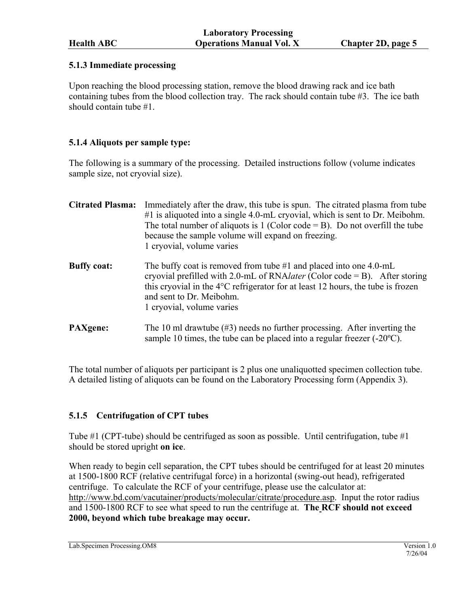# <span id="page-4-0"></span>**5.1.3 Immediate processing**

Upon reaching the blood processing station, remove the blood drawing rack and ice bath containing tubes from the blood collection tray. The rack should contain tube #3. The ice bath should contain tube #1.

# **5.1.4 Aliquots per sample type:**

The following is a summary of the processing. Detailed instructions follow (volume indicates sample size, not cryovial size).

| <b>Citrated Plasma:</b> | Immediately after the draw, this tube is spun. The citrated plasma from tube<br>$#1$ is aliquoted into a single 4.0-mL cryovial, which is sent to Dr. Meibohm.<br>The total number of aliquots is 1 (Color code $=$ B). Do not overfill the tube<br>because the sample volume will expand on freezing.<br>1 cryovial, volume varies |
|-------------------------|-------------------------------------------------------------------------------------------------------------------------------------------------------------------------------------------------------------------------------------------------------------------------------------------------------------------------------------|
| <b>Buffy coat:</b>      | The buffy coat is removed from tube $#1$ and placed into one 4.0-mL<br>cryovial prefilled with 2.0-mL of RNA <i>later</i> (Color code = B). After storing<br>this cryovial in the $4^{\circ}$ C refrigerator for at least 12 hours, the tube is frozen<br>and sent to Dr. Meibohm.<br>1 cryovial, volume varies                     |
| <b>PAXgene:</b>         | The 10 ml drawtube $(\#3)$ needs no further processing. After inverting the<br>sample 10 times, the tube can be placed into a regular freezer $(-20^{\circ}C)$ .                                                                                                                                                                    |

The total number of aliquots per participant is 2 plus one unaliquotted specimen collection tube. A detailed listing of aliquots can be found on the Laboratory Processing form (Appendix 3).

# **5.1.5 Centrifugation of CPT tubes**

Tube #1 (CPT-tube) should be centrifuged as soon as possible. Until centrifugation, tube #1 should be stored upright **on ice**.

When ready to begin cell separation, the CPT tubes should be centrifuged for at least 20 minutes at 1500-1800 RCF (relative centrifugal force) in a horizontal (swing-out head), refrigerated centrifuge. To calculate the RCF of your centrifuge, please use the calculator at: http://www.bd.com/vacutainer/products/molecular/citrate/procedure.asp. Input the rotor radius and 1500-1800 RCF to see what speed to run the centrifuge at. **The RCF should not exceed 2000, beyond which tube breakage may occur.** 

Lab.Specimen Processing.OM8 Version 1.0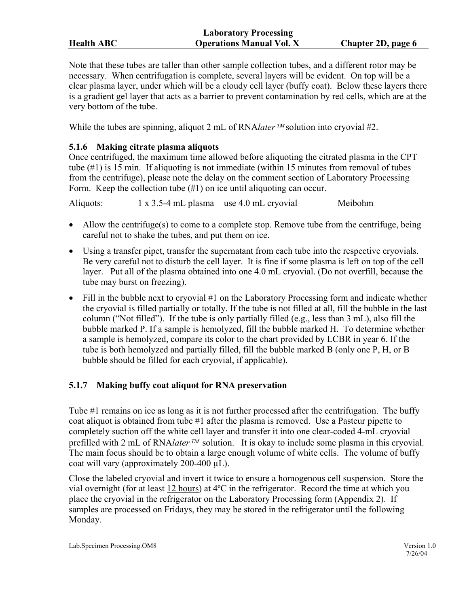<span id="page-5-0"></span>

|                   | <b>Laboratory Processing</b>    |                    |
|-------------------|---------------------------------|--------------------|
| <b>Health ABC</b> | <b>Operations Manual Vol. X</b> | Chapter 2D, page 6 |

Note that these tubes are taller than other sample collection tubes, and a different rotor may be necessary. When centrifugation is complete, several layers will be evident. On top will be a clear plasma layer, under which will be a cloudy cell layer (buffy coat). Below these layers there is a gradient gel layer that acts as a barrier to prevent contamination by red cells, which are at the very bottom of the tube.

While the tubes are spinning, aliquot 2 mL of RNA*later* <sup>*IM*</sup> solution into cryovial #2.

# **5.1.6 Making citrate plasma aliquots**

Once centrifuged, the maximum time allowed before aliquoting the citrated plasma in the CPT tube  $(\#1)$  is 15 min. If aliquoting is not immediate (within 15 minutes from removal of tubes from the centrifuge), please note the delay on the comment section of Laboratory Processing Form. Keep the collection tube (#1) on ice until aliquoting can occur.

Aliquots: 1 x 3.5-4 mL plasma use 4.0 mL cryovial Meibohm

- Allow the centrifuge(s) to come to a complete stop. Remove tube from the centrifuge, being careful not to shake the tubes, and put them on ice.
- Using a transfer pipet, transfer the supernatant from each tube into the respective cryovials. Be very careful not to disturb the cell layer. It is fine if some plasma is left on top of the cell layer. Put all of the plasma obtained into one 4.0 mL cryovial. (Do not overfill, because the tube may burst on freezing).
- Fill in the bubble next to cryovial #1 on the Laboratory Processing form and indicate whether the cryovial is filled partially or totally. If the tube is not filled at all, fill the bubble in the last column ("Not filled"). If the tube is only partially filled (e.g., less than 3 mL), also fill the bubble marked P. If a sample is hemolyzed, fill the bubble marked H. To determine whether a sample is hemolyzed, compare its color to the chart provided by LCBR in year 6. If the tube is both hemolyzed and partially filled, fill the bubble marked B (only one P, H, or B bubble should be filled for each cryovial, if applicable).

# **5.1.7 Making buffy coat aliquot for RNA preservation**

Tube #1 remains on ice as long as it is not further processed after the centrifugation. The buffy coat aliquot is obtained from tube #1 after the plasma is removed. Use a Pasteur pipette to completely suction off the white cell layer and transfer it into one clear-coded 4-mL cryovial prefilled with 2 mL of RNA*later<sup>TM</sup>* solution. It is okay to include some plasma in this cryovial. The main focus should be to obtain a large enough volume of white cells. The volume of buffy coat will vary (approximately 200-400 µL).

Close the labeled cryovial and invert it twice to ensure a homogenous cell suspension. Store the vial overnight (for at least 12 hours) at 4ºC in the refrigerator. Record the time at which you place the cryovial in the refrigerator on the Laboratory Processing form (Appendix 2). If samples are processed on Fridays, they may be stored in the refrigerator until the following Monday.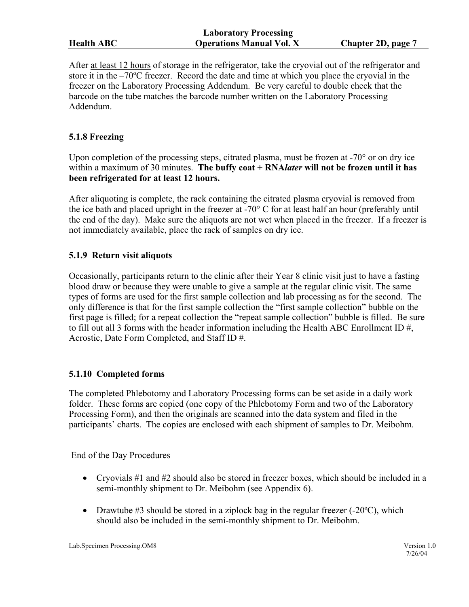<span id="page-6-0"></span>

After at least 12 hours of storage in the refrigerator, take the cryovial out of the refrigerator and store it in the –70ºC freezer. Record the date and time at which you place the cryovial in the freezer on the Laboratory Processing Addendum. Be very careful to double check that the barcode on the tube matches the barcode number written on the Laboratory Processing Addendum.

# **5.1.8 Freezing**

Upon completion of the processing steps, citrated plasma, must be frozen at -70<sup>°</sup> or on dry ice within a maximum of 30 minutes. **The buffy coat + RNA***later* **will not be frozen until it has been refrigerated for at least 12 hours.** 

After aliquoting is complete, the rack containing the citrated plasma cryovial is removed from the ice bath and placed upright in the freezer at -70 $\degree$  C for at least half an hour (preferably until the end of the day). Make sure the aliquots are not wet when placed in the freezer. If a freezer is not immediately available, place the rack of samples on dry ice.

#### **5.1.9 Return visit aliquots**

Occasionally, participants return to the clinic after their Year 8 clinic visit just to have a fasting blood draw or because they were unable to give a sample at the regular clinic visit. The same types of forms are used for the first sample collection and lab processing as for the second. The only difference is that for the first sample collection the "first sample collection" bubble on the first page is filled; for a repeat collection the "repeat sample collection" bubble is filled. Be sure to fill out all 3 forms with the header information including the Health ABC Enrollment ID  $\#$ , Acrostic, Date Form Completed, and Staff ID #.

# **5.1.10 Completed forms**

The completed Phlebotomy and Laboratory Processing forms can be set aside in a daily work folder. These forms are copied (one copy of the Phlebotomy Form and two of the Laboratory Processing Form), and then the originals are scanned into the data system and filed in the participants' charts. The copies are enclosed with each shipment of samples to Dr. Meibohm.

End of the Day Procedures

- Cryovials #1 and #2 should also be stored in freezer boxes, which should be included in a semi-monthly shipment to Dr. Meibohm (see Appendix 6).
- Drawtube  $#3$  should be stored in a ziplock bag in the regular freezer (-20 $^{\circ}$ C), which should also be included in the semi-monthly shipment to Dr. Meibohm.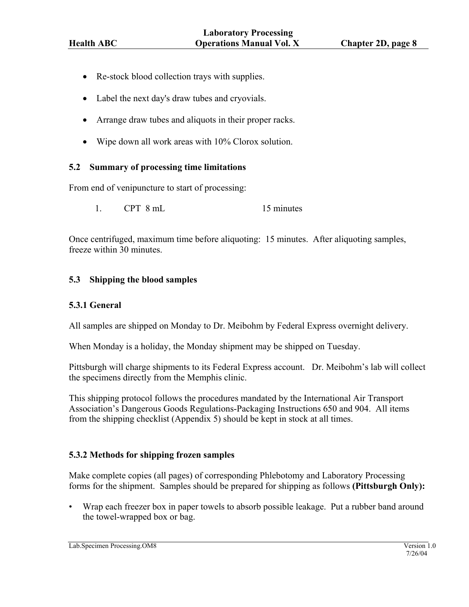- <span id="page-7-0"></span>• Re-stock blood collection trays with supplies.
- Label the next day's draw tubes and cryovials.
- Arrange draw tubes and aliquots in their proper racks.
- Wipe down all work areas with 10% Clorox solution.

#### **5.2 Summary of processing time limitations**

From end of venipuncture to start of processing:

1. CPT 8 mL 15 minutes

Once centrifuged, maximum time before aliquoting: 15 minutes. After aliquoting samples, freeze within 30 minutes.

#### **5.3 Shipping the blood samples**

#### **5.3.1 General**

All samples are shipped on Monday to Dr. Meibohm by Federal Express overnight delivery.

When Monday is a holiday, the Monday shipment may be shipped on Tuesday.

Pittsburgh will charge shipments to its Federal Express account. Dr. Meibohm's lab will collect the specimens directly from the Memphis clinic.

This shipping protocol follows the procedures mandated by the International Air Transport Association's Dangerous Goods Regulations-Packaging Instructions 650 and 904. All items from the shipping checklist (Appendix 5) should be kept in stock at all times.

# **5.3.2 Methods for shipping frozen samples**

Make complete copies (all pages) of corresponding Phlebotomy and Laboratory Processing forms for the shipment. Samples should be prepared for shipping as follows **(Pittsburgh Only):**

• Wrap each freezer box in paper towels to absorb possible leakage. Put a rubber band around the towel-wrapped box or bag.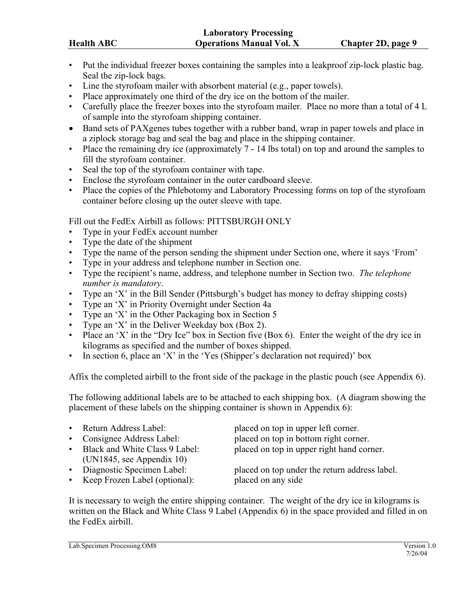|                   | Laboratory Trocessing           |                    |
|-------------------|---------------------------------|--------------------|
| <b>Health ABC</b> | <b>Operations Manual Vol. X</b> | Chapter 2D, page 9 |
|                   |                                 |                    |

• Put the individual freezer boxes containing the samples into a leakproof zip-lock plastic bag. Seal the zip-lock bags.

**Laboratory Processing** 

- Line the styrofoam mailer with absorbent material (e.g., paper towels).
- Place approximately one third of the dry ice on the bottom of the mailer.
- Carefully place the freezer boxes into the styrofoam mailer. Place no more than a total of 4 L of sample into the styrofoam shipping container.
- Band sets of PAXgenes tubes together with a rubber band, wrap in paper towels and place in a ziplock storage bag and seal the bag and place in the shipping container.
- Place the remaining dry ice (approximately  $7 14$  lbs total) on top and around the samples to fill the styrofoam container.
- Seal the top of the styrofoam container with tape.
- Enclose the styrofoam container in the outer cardboard sleeve.
- Place the copies of the Phlebotomy and Laboratory Processing forms on top of the styrofoam container before closing up the outer sleeve with tape.

Fill out the FedEx Airbill as follows: PITTSBURGH ONLY

- Type in your FedEx account number
- Type the date of the shipment
- Type the name of the person sending the shipment under Section one, where it says 'From'
- Type in your address and telephone number in Section one.
- Type the recipient's name, address, and telephone number in Section two. *The telephone number is mandatory*.
- Type an 'X' in the Bill Sender (Pittsburgh's budget has money to defray shipping costs)
- Type an 'X' in Priority Overnight under Section 4a
- Type an 'X' in the Other Packaging box in Section 5
- Type an 'X' in the Deliver Weekday box (Box 2).
- Place an 'X' in the "Dry Ice" box in Section five (Box 6). Enter the weight of the dry ice in kilograms as specified and the number of boxes shipped.
- In section 6, place an 'X' in the 'Yes (Shipper's declaration not required)' box

Affix the completed airbill to the front side of the package in the plastic pouch (see Appendix 6).

The following additional labels are to be attached to each shipping box. (A diagram showing the placement of these labels on the shipping container is shown in Appendix 6):

| • Return Address Label:          | placed on top in upper left corner.           |
|----------------------------------|-----------------------------------------------|
| • Consignee Address Label:       | placed on top in bottom right corner.         |
| • Black and White Class 9 Label: | placed on top in upper right hand corner.     |
| (UN1845, see Appendix 10)        |                                               |
| • Diagnostic Specimen Label:     | placed on top under the return address label. |
| • Keep Frozen Label (optional):  | placed on any side                            |

It is necessary to weigh the entire shipping container. The weight of the dry ice in kilograms is written on the Black and White Class 9 Label (Appendix 6) in the space provided and filled in on the FedEx airbill.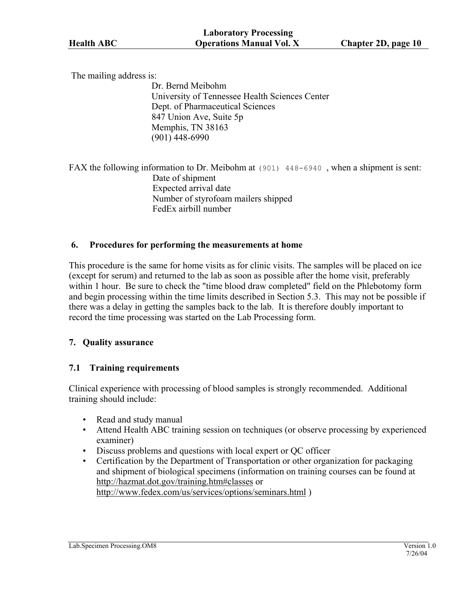<span id="page-9-0"></span>The mailing address is:

Dr. Bernd Meibohm University of Tennessee Health Sciences Center Dept. of Pharmaceutical Sciences 847 Union Ave, Suite 5p Memphis, TN 38163 (901) 448-6990

FAX the following information to Dr. Meibohm at (901) 448-6940 , when a shipment is sent: Date of shipment Expected arrival date Number of styrofoam mailers shipped FedEx airbill number

#### **6. Procedures for performing the measurements at home**

This procedure is the same for home visits as for clinic visits. The samples will be placed on ice (except for serum) and returned to the lab as soon as possible after the home visit, preferably within 1 hour. Be sure to check the "time blood draw completed" field on the Phlebotomy form and begin processing within the time limits described in Section 5.3. This may not be possible if there was a delay in getting the samples back to the lab. It is therefore doubly important to record the time processing was started on the Lab Processing form.

#### **7. Quality assurance**

# **7.1 Training requirements**

Clinical experience with processing of blood samples is strongly recommended. Additional training should include:

- Read and study manual
- Attend Health ABC training session on techniques (or observe processing by experienced examiner)
- Discuss problems and questions with local expert or QC officer
- Certification by the Department of Transportation or other organization for packaging and shipment of biological specimens (information on training courses can be found at [http://hazmat.dot.gov/training.htm#classes](http://hazmat.dot.gov/training.htm) or <http://www.fedex.com/us/services/options/seminars.html>)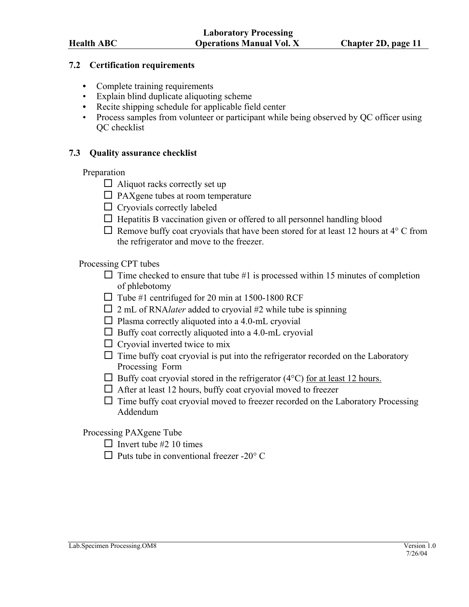#### <span id="page-10-0"></span>**7.2 Certification requirements**

- Complete training requirements
- Explain blind duplicate aliquoting scheme
- Recite shipping schedule for applicable field center
- Process samples from volunteer or participant while being observed by OC officer using QC checklist

#### **7.3 Quality assurance checklist**

#### Preparation

- $\Box$  Aliquot racks correctly set up
- $\Box$  PAXgene tubes at room temperature
- $\Box$  Cryovials correctly labeled
- $\Box$  Hepatitis B vaccination given or offered to all personnel handling blood
- $\Box$  Remove buffy coat cryovials that have been stored for at least 12 hours at 4 $\degree$  C from the refrigerator and move to the freezer.

#### Processing CPT tubes

- $\Box$  Time checked to ensure that tube #1 is processed within 15 minutes of completion of phlebotomy
- $\Box$  Tube #1 centrifuged for 20 min at 1500-1800 RCF
- $\Box$  2 mL of RNA*later* added to cryovial #2 while tube is spinning
- $\Box$  Plasma correctly aliquoted into a 4.0-mL cryovial
- $\Box$  Buffy coat correctly aliquoted into a 4.0-mL cryovial
- $\Box$  Cryovial inverted twice to mix
- $\Box$  Time buffy coat cryovial is put into the refrigerator recorded on the Laboratory Processing Form
- $\Box$  Buffy coat cryovial stored in the refrigerator (4 $\degree$ C) for at least 12 hours.
- $\Box$  After at least 12 hours, buffy coat cryovial moved to freezer
- $\Box$  Time buffy coat cryovial moved to freezer recorded on the Laboratory Processing Addendum

Processing PAXgene Tube

- $\Box$  Invert tube #2 10 times
- $\Box$  Puts tube in conventional freezer -20 $^{\circ}$  C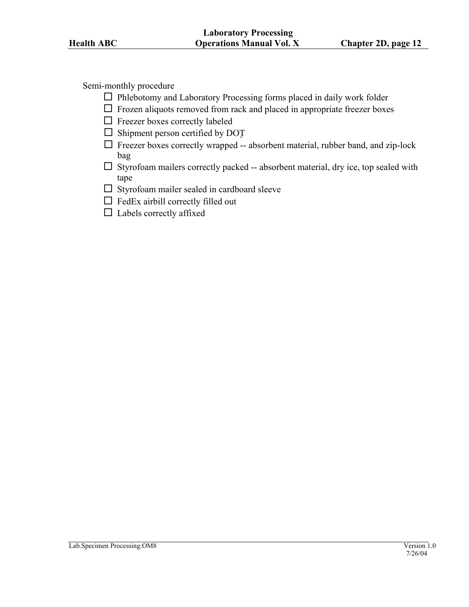Semi-monthly procedure

- $\Box$  Phlebotomy and Laboratory Processing forms placed in daily work folder
- $\Box$  Frozen aliquots removed from rack and placed in appropriate freezer boxes
- $\Box$  Freezer boxes correctly labeled
- $\square$  Shipment person certified by DOT
- $\Box$  Freezer boxes correctly wrapped -- absorbent material, rubber band, and zip-lock bag
- $\square$  Styrofoam mailers correctly packed -- absorbent material, dry ice, top sealed with tape
- $\Box$  Styrofoam mailer sealed in cardboard sleeve
- $\Box$  FedEx airbill correctly filled out
- $\Box$  Labels correctly affixed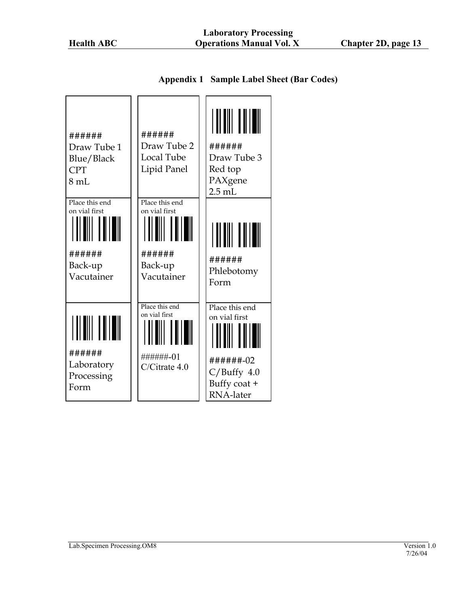|  | <b>Appendix 1 Sample Label Sheet (Bar Codes)</b> |  |
|--|--------------------------------------------------|--|
|--|--------------------------------------------------|--|

<span id="page-12-0"></span>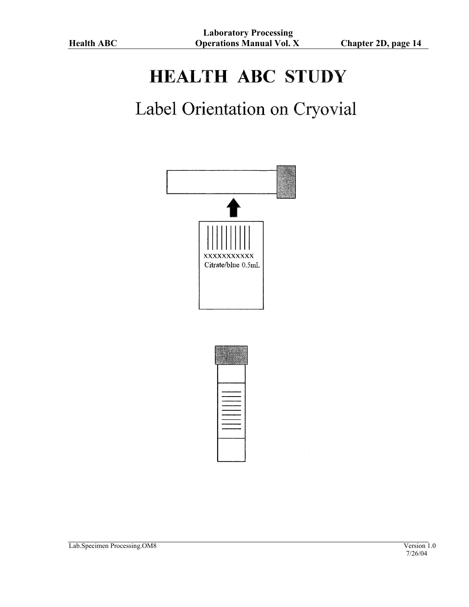# **HEALTH ABC STUDY**

# Label Orientation on Cryovial

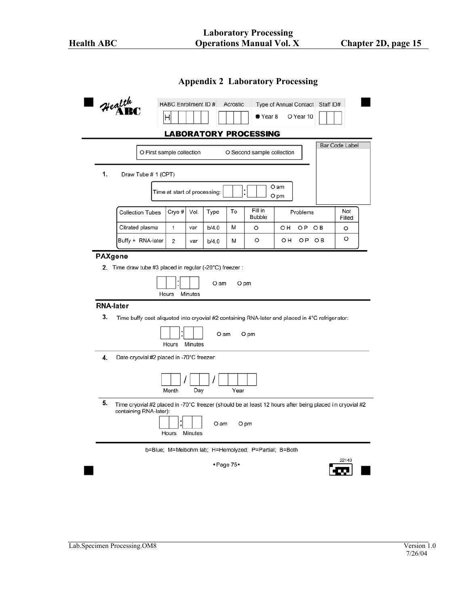| <b>Appendix 2 Laboratory Processing</b> |  |  |
|-----------------------------------------|--|--|
|-----------------------------------------|--|--|

<span id="page-14-0"></span>

|    | O First sample collection                                                                                           |                              |         |       |      | O Second sample collection |              |                | <b>Bar Code Label</b> |
|----|---------------------------------------------------------------------------------------------------------------------|------------------------------|---------|-------|------|----------------------------|--------------|----------------|-----------------------|
|    |                                                                                                                     |                              |         |       |      |                            |              |                |                       |
| 1. | Draw Tube # 1 (CPT)                                                                                                 | Time at start of processing: |         |       |      |                            | O am<br>O pm |                |                       |
|    | <b>Collection Tubes</b>                                                                                             | Cryo#                        | Vol.    | Type  | To   | Fill in<br><b>Bubble</b>   | Problems     |                | Not<br>Filled         |
|    | Citrated plasma                                                                                                     | 1                            | var     | b/4.0 | М    | O                          | OH<br>O P    | O <sub>B</sub> | O                     |
|    | Buffy + RNA-later                                                                                                   | 2                            | var     | b/4.0 | М    | O                          | OН           | OP OB          | O                     |
| 3. | <b>RNA-later</b><br>Time buffy coat aliquoted into cryovial #2 containing RNA-later and placed in 4°C refrigerator: | Hours                        | Minutes | O am  |      | O pm                       |              |                |                       |
|    |                                                                                                                     | Hours                        | Minutes | O am  |      | O pm                       |              |                |                       |
| 4. | Date cryovial #2 placed in -70°C freezer:                                                                           |                              |         |       |      |                            |              |                |                       |
|    |                                                                                                                     | Month                        | Day     |       | Year |                            |              |                |                       |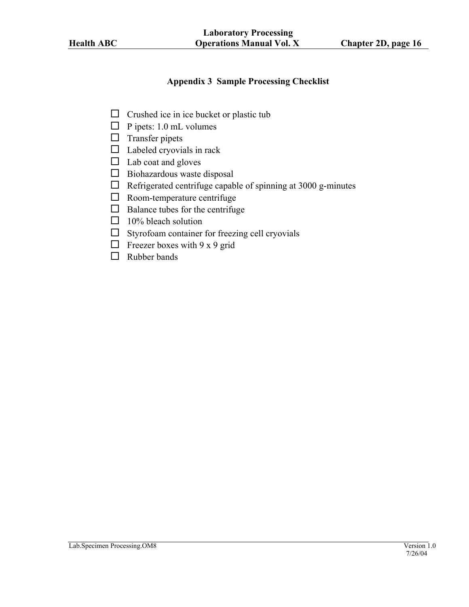#### **Appendix 3 Sample Processing Checklist**

- <span id="page-15-0"></span> $\Box$  Crushed ice in ice bucket or plastic tub
- $\Box$  P ipets: 1.0 mL volumes
- $\Box$  Transfer pipets
- $\Box$  Labeled cryovials in rack
- $\Box$  Lab coat and gloves
- $\Box$  Biohazardous waste disposal
- $\Box$  Refrigerated centrifuge capable of spinning at 3000 g-minutes
- $\Box$  Room-temperature centrifuge
- $\Box$  Balance tubes for the centrifuge
- $\Box$  10% bleach solution
- $\square$  Styrofoam container for freezing cell cryovials
- $\Box$  Freezer boxes with 9 x 9 grid
- $\Box$  Rubber bands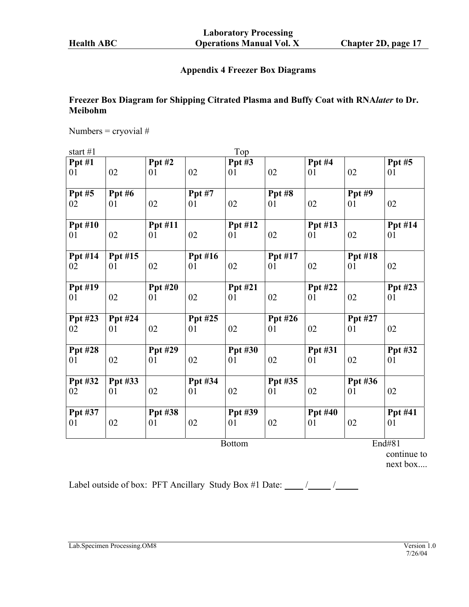# **Appendix 4 Freezer Box Diagrams**

# <span id="page-16-0"></span>**Freezer Box Diagram for Shipping Citrated Plasma and Buffy Coat with RNA***later* **to Dr. Meibohm**

Numbers = cryovial  $#$ 

| start $#1$ |  |
|------------|--|
|            |  |

| start $#1$     |                |                |                | Top            |         |                |                |         |
|----------------|----------------|----------------|----------------|----------------|---------|----------------|----------------|---------|
| Ppt#1          |                | Ppt#2          |                | Ppt $#3$       |         | Ppt#4          |                | Ppt#5   |
| 01             | 02             | 01             | 02             | 01             | 02      | 01             | 02             | 01      |
| Ppt#5          | Ppt#6          |                | <b>Ppt #7</b>  |                | Ppt#8   |                | Ppt#9          |         |
| 02             | 01             | 02             | 01             | 02             | 01      | 02             | 01             | 02      |
| <b>Ppt #10</b> |                | Ppt #11        |                | Ppt #12        |         | Ppt #13        |                | Ppt #14 |
| 01             | 02             | 01             | 02             | 01             | 02      | 01             | 02             | 01      |
| Ppt #14        | Ppt #15        |                | <b>Ppt #16</b> |                | Ppt #17 |                | <b>Ppt #18</b> |         |
| 02             | 01             | 02             | 01             | 02             | 01      | 02             | 01             | 02      |
| <b>Ppt #19</b> |                | <b>Ppt #20</b> |                | <b>Ppt #21</b> |         | <b>Ppt #22</b> |                | Ppt #23 |
| 01             | 02             | 01             | 02             | 01             | 02      | 01             | 02             | 01      |
| Ppt #23        | <b>Ppt #24</b> |                | Ppt #25        |                | Ppt #26 |                | Ppt #27        |         |
| 02             | 01             | 02             | 01             | 02             | 01      | 02             | 01             | 02      |
| <b>Ppt #28</b> |                | Ppt #29        |                | <b>Ppt #30</b> |         | Ppt #31        |                | Ppt #32 |
| 01             | 02             | 01             | 02             | 01             | 02      | 01             | 02             | 01      |
| Ppt #32        | Ppt #33        |                | Ppt #34        |                | Ppt #35 |                | Ppt #36        |         |
| 02             | 01             | 02             | 01             | 02             | 01      | 02             | 01             | 02      |
| Ppt #37        |                | Ppt #38        |                | Ppt #39        |         | <b>Ppt #40</b> |                | Ppt #41 |
| 01             | 02             | 01             | 02             | 01             | 02      | 01             | 02             | 01      |
|                |                |                |                | <b>Bottom</b>  |         |                |                | End#81  |

continue to next box....

Label outside of box: PFT Ancillary Study Box #1 Date: / /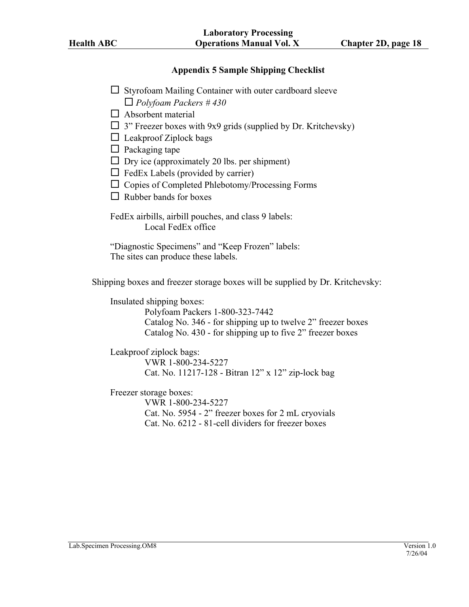#### **Appendix 5 Sample Shipping Checklist**

- <span id="page-17-0"></span> $\Box$  Styrofoam Mailing Container with outer cardboard sleeve *Polyfoam Packers # 430*
- $\Box$  Absorbent material
- $\Box$  3" Freezer boxes with 9x9 grids (supplied by Dr. Kritchevsky)
- $\Box$  Leakproof Ziplock bags
- $\Box$  Packaging tape
- $\Box$  Dry ice (approximately 20 lbs. per shipment)
- $\Box$  FedEx Labels (provided by carrier)
- $\Box$  Copies of Completed Phlebotomy/Processing Forms
- $\Box$  Rubber bands for boxes

FedEx airbills, airbill pouches, and class 9 labels: Local FedEx office

"Diagnostic Specimens" and "Keep Frozen" labels: The sites can produce these labels.

Shipping boxes and freezer storage boxes will be supplied by Dr. Kritchevsky:

Insulated shipping boxes:

Polyfoam Packers 1-800-323-7442 Catalog No. 346 - for shipping up to twelve 2" freezer boxes Catalog No. 430 - for shipping up to five 2" freezer boxes

Leakproof ziplock bags:

 VWR 1-800-234-5227 Cat. No. 11217-128 - Bitran 12" x 12" zip-lock bag

Freezer storage boxes:

 VWR 1-800-234-5227 Cat. No. 5954 - 2" freezer boxes for 2 mL cryovials Cat. No. 6212 - 81-cell dividers for freezer boxes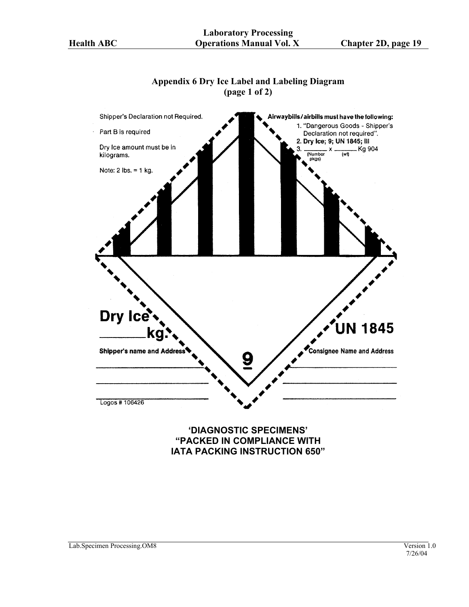# **Appendix 6 Dry Ice Label and Labeling Diagram (page 1 of 2)**

<span id="page-18-0"></span>

# **"PACKED IN COMPLIANCE WITH IATA PACKING INSTRUCTION 650"**